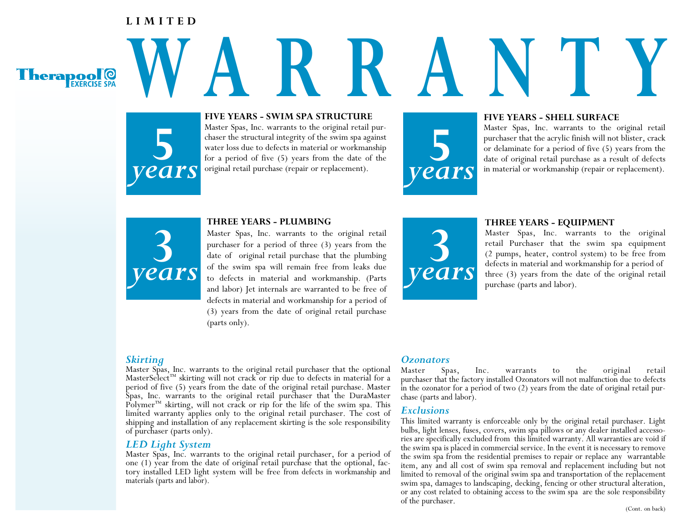## **LIMITED**



# **5** *years*

## **W ARRANTY FIVE YEARS - SWIM SPA STRUCTURE**

Master Spas, Inc. warrants to the original retail purchaser the structural integrity of the swim spa against water loss due to defects in material or workmanship for a period of five (5) years from the date of the original retail purchase (repair or replacement).

## **FIVE YEARS - SHELL SURFACE**

Master Spas, Inc. warrants to the original retail purchaser that the acrylic finish will not blister, crack or delaminate for a period of five (5) years from the date of original retail purchase as a result of defects in m purchaser that the acrylic finish will not blister, crack or delaminate for a period of five (5) years from the date of original retail purchase as a result of defects in material or workmanship (repair or replacement).



### **THREE YEARS - PLUMBING**

Master Spas, Inc. warrants to the original retail purchaser for a period of three (3) years from the date of original retail purchase that the plumbing of the swim spa will remain free from leaks due to defects in material and workmanship. (Parts and labor) Jet internals are warranted to be free of defects in material and workmanship for a period of (3) years from the date of original retail purchase (parts only).



### **THREE YEARS - EQUIPMENT**

Master Spas, Inc. warrants to the original retail Purchaser that the swim spa equipment (2 pumps, heater, control system) to be free from defects in material and workmanship for a period of three (3) years from the date of the original retail purchase (parts and labor).

## *Skirting*

Master Spas, Inc. warrants to the original retail purchaser that the optional MasterSelect™ skirting will not crack or rip due to defects in material for a period of five (5) years from the date of the original retail purchase. Master Spas, Inc. warrants to the original retail purchaser that the DuraMaster Polymer<sup>™</sup> skirting, will not crack or rip for the life of the swim spa. This limited warranty applies only to the original retail purchaser. The cost of shipping and installation of any replacement skirting is the sole responsibility of purchaser (parts only).

*LED Light System* Master Spas, Inc. warrants to the original retail purchaser, for a period of one (1) year from the date of original retail purchase that the optional, fac- tory installed LED light system will be free from defects in workmanship and materials (parts and labor).

## *Ozonators*

Master Spas, Inc. warrants to the original retail purchaser that the factory installed Ozonators will not malfunction due to defects in the ozonator for a period of two (2) years from the date of original retail pur- chase (parts and labor).

## *Exclusions*

This limited warranty is enforceable only by the original retail purchaser. Light bulbs, light lenses, fuses, covers, swim spa pillows or any dealer installed accesso- ries are specifically excluded from this limited warranty. All warranties are void if the swim spa is placed in commercial service. In the event it is necessary to remove the swim spa from the residential premises to repair or replace any warrantable item, any and all cost of swim spa removal and replacement including but not limited to removal of the original swim spa and transportation of the replacement swim spa, damages to landscaping, decking, fencing or other structural alteration, or any cost related to obtaining access to the swim spa are the sole responsibility of the purchaser.